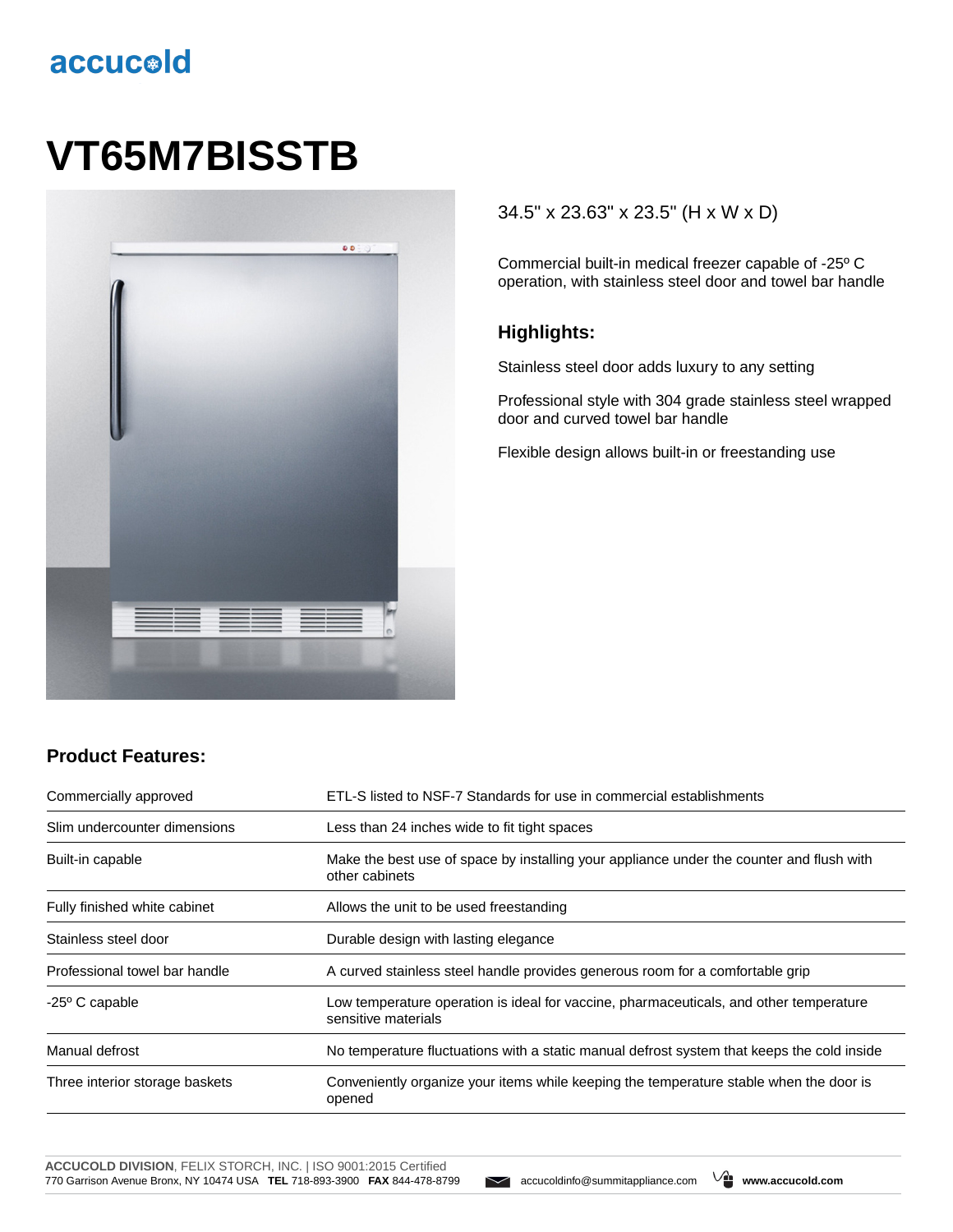# accucold

# **VT65M7BISSTB**



#### 34.5" x 23.63" x 23.5" (H x W x D)

Commercial built-in medical freezer capable of -25º C operation, with stainless steel door and towel bar handle

#### **Highlights:**

Stainless steel door adds luxury to any setting

Professional style with 304 grade stainless steel wrapped door and curved towel bar handle

Flexible design allows built-in or freestanding use

### **Product Features:**

| Commercially approved          | ETL-S listed to NSF-7 Standards for use in commercial establishments                                          |  |
|--------------------------------|---------------------------------------------------------------------------------------------------------------|--|
| Slim undercounter dimensions   | Less than 24 inches wide to fit tight spaces                                                                  |  |
| Built-in capable               | Make the best use of space by installing your appliance under the counter and flush with<br>other cabinets    |  |
| Fully finished white cabinet   | Allows the unit to be used freestanding                                                                       |  |
| Stainless steel door           | Durable design with lasting elegance                                                                          |  |
| Professional towel bar handle  | A curved stainless steel handle provides generous room for a comfortable grip                                 |  |
| $-25^{\circ}$ C capable        | Low temperature operation is ideal for vaccine, pharmaceuticals, and other temperature<br>sensitive materials |  |
| Manual defrost                 | No temperature fluctuations with a static manual defrost system that keeps the cold inside                    |  |
| Three interior storage baskets | Conveniently organize your items while keeping the temperature stable when the door is<br>opened              |  |

**ACCUCOLD DIVISION**, FELIX STORCH, INC. | ISO 9001:2015 Certified 770 Garrison Avenue Bronx, NY 10474 USA **TEL** 718-893-3900 **FAX** 844-478-8799 accucoldinfo@summitappliance.com **www.accucold.com**